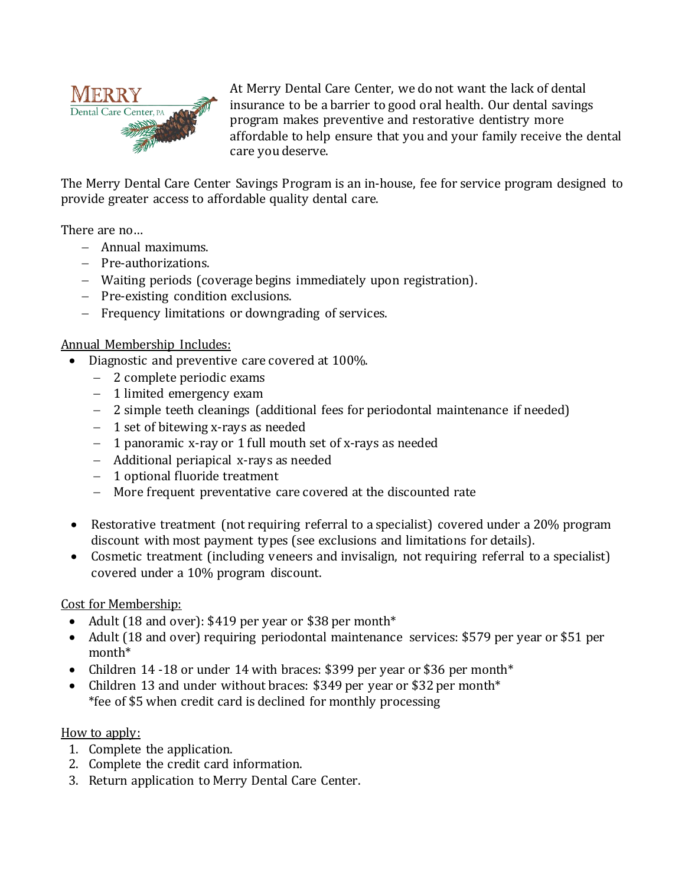

At Merry Dental Care Center, we do not want the lack of dental insurance to be a barrier to good oral health. Our dental savings program makes preventive and restorative dentistry more affordable to help ensure that you and your family receive the dental care you deserve.

The Merry Dental Care Center Savings Program is an in-house, fee for service program designed to provide greater access to affordable quality dental care.

There are no…

- Annual maximums.
- Pre-authorizations.
- Waiting periods (coverage begins immediately upon registration).
- Pre-existing condition exclusions.
- Frequency limitations or downgrading of services.

## Annual Membership Includes:

- Diagnostic and preventive care covered at 100%.
	- 2 complete periodic exams
	- 1 limited emergency exam
	- 2 simple teeth cleanings (additional fees for periodontal maintenance if needed)
	- 1 set of bitewing x-rays as needed
	- 1 panoramic x-ray or 1 full mouth set of x-rays as needed
	- Additional periapical x-rays as needed
	- 1 optional fluoride treatment
	- More frequent preventative care covered at the discounted rate
- Restorative treatment (not requiring referral to a specialist) covered under a 20% program discount with most payment types (see exclusions and limitations for details).
- Cosmetic treatment (including veneers and invisalign, not requiring referral to a specialist) covered under a 10% program discount.

# Cost for Membership:

- Adult (18 and over): \$419 per year or \$38 per month\*
- Adult (18 and over) requiring periodontal maintenance services: \$579 per year or \$51 per month\*
- Children 14 -18 or under 14 with braces: \$399 per year or \$36 per month\*
- Children 13 and under without braces: \$349 per year or \$32 per month\* \*fee of \$5 when credit card is declined for monthly processing

### How to apply:

- 1. Complete the application.
- 2. Complete the credit card information.
- 3. Return application to Merry Dental Care Center.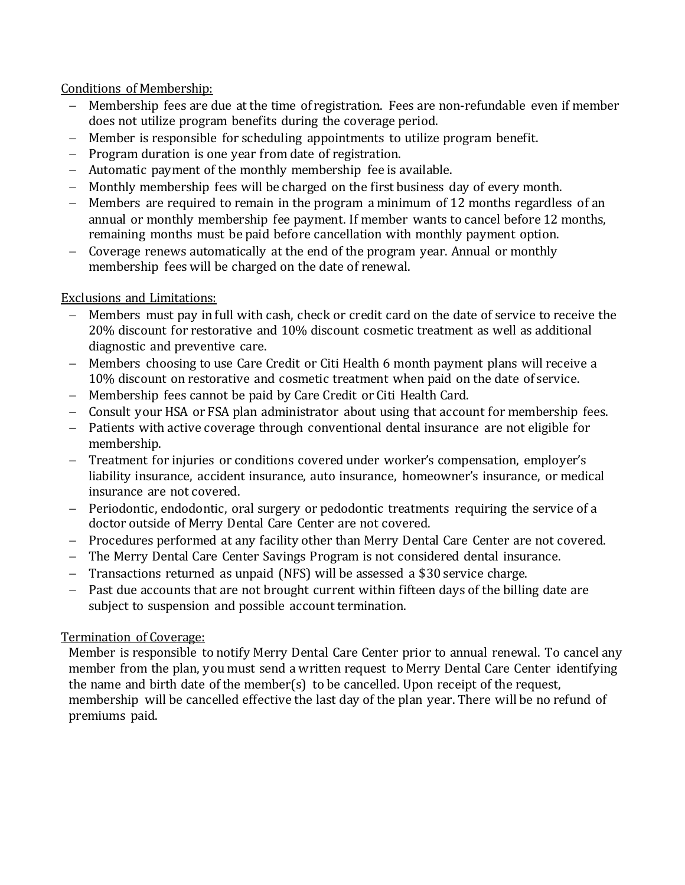### Conditions of Membership:

- Membership fees are due at the time of registration. Fees are non-refundable even if member does not utilize program benefits during the coverage period.
- Member is responsible for scheduling appointments to utilize program benefit.
- $P$  Program duration is one year from date of registration.
- Automatic payment of the monthly membership fee is available.
- Monthly membership fees will be charged on the first business day of every month.
- Members are required to remain in the program a minimum of 12 months regardless of an annual or monthly membership fee payment. If member wants to cancel before 12 months, remaining months must be paid before cancellation with monthly payment option.
- Coverage renews automatically at the end of the program year. Annual or monthly membership fees will be charged on the date of renewal.

# Exclusions and Limitations:

- Members must pay in full with cash, check or credit card on the date of service to receive the 20% discount for restorative and 10% discount cosmetic treatment as well as additional diagnostic and preventive care.
- Members choosing to use Care Credit or Citi Health 6 month payment plans will receive a 10% discount on restorative and cosmetic treatment when paid on the date of service.
- Membership fees cannot be paid by Care Credit or Citi Health Card.
- Consult your HSA or FSA plan administrator about using that account for membership fees.
- Patients with active coverage through conventional dental insurance are not eligible for membership.
- Treatment for injuries or conditions covered under worker's compensation, employer's liability insurance, accident insurance, auto insurance, homeowner's insurance, or medical insurance are not covered.
- Periodontic, endodontic, oral surgery or pedodontic treatments requiring the service of a doctor outside of Merry Dental Care Center are not covered.
- Procedures performed at any facility other than Merry Dental Care Center are not covered.
- The Merry Dental Care Center Savings Program is not considered dental insurance.
- Transactions returned as unpaid (NFS) will be assessed a \$30 service charge.
- Past due accounts that are not brought current within fifteen days of the billing date are subject to suspension and possible account termination.

# Termination of Coverage:

Member is responsible to notify Merry Dental Care Center prior to annual renewal. To cancel any member from the plan, you must send a written request to Merry Dental Care Center identifying the name and birth date of the member(s) to be cancelled. Upon receipt of the request, membership will be cancelled effective the last day of the plan year. There will be no refund of premiums paid.